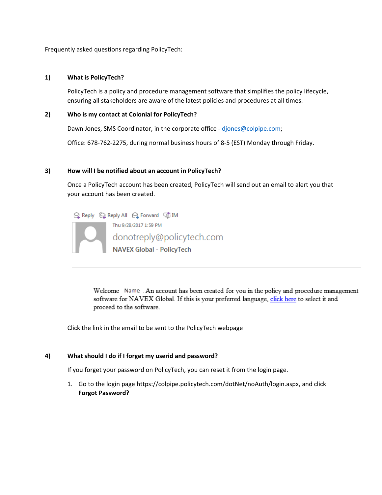Frequently asked questions regarding PolicyTech:

## **1) What is PolicyTech?**

PolicyTech is a policy and procedure management software that simplifies the policy lifecycle, ensuring all stakeholders are aware of the latest policies and procedures at all times.

#### **2) Who is my contact at Colonial for PolicyTech?**

Dawn Jones, SMS Coordinator, in the corporate office - djones@colpipe.com;

Office: 678‐762‐2275, during normal business hours of 8‐5 (EST) Monday through Friday.

## **3) How will I be notified about an account in PolicyTech?**

Once a PolicyTech account has been created, PolicyTech will send out an email to alert you that your account has been created.

**Q Reply** Q Reply All Q Forward 5 IM Thu 9/28/2017 1:59 PM donotreply@policytech.com<br>NAVEX Global - PolicyTech

> Welcome Name . An account has been created for you in the policy and procedure management software for NAVEX Global. If this is your preferred language, click here to select it and proceed to the software.

Click the link in the email to be sent to the PolicyTech webpage

# **4) What should I do if I forget my userid and password?**

If you forget your password on PolicyTech, you can reset it from the login page.

1. Go to the login page https://colpipe.policytech.com/dotNet/noAuth/login.aspx, and click **Forgot Password?**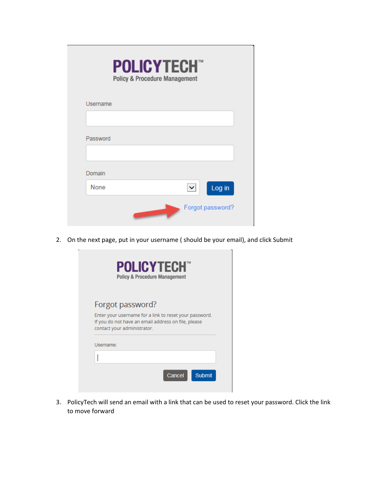| <b>POLICYTECH</b><br>Policy & Procedure Management |                      |                  |
|----------------------------------------------------|----------------------|------------------|
| Username                                           |                      |                  |
|                                                    |                      |                  |
| Password                                           |                      |                  |
|                                                    |                      |                  |
| Domain                                             |                      |                  |
| None                                               | $\blacktriangledown$ | Log in           |
|                                                    |                      | Forgot password? |

2. On the next page, put in your username ( should be your email), and click Submit

|           | Forgot password?                                                                                                                             |  |  |
|-----------|----------------------------------------------------------------------------------------------------------------------------------------------|--|--|
|           | Enter your username for a link to reset your password.<br>If you do not have an email address on file, please<br>contact your administrator. |  |  |
| Username: |                                                                                                                                              |  |  |

3. PolicyTech will send an email with a link that can be used to reset your password. Click the link to move forward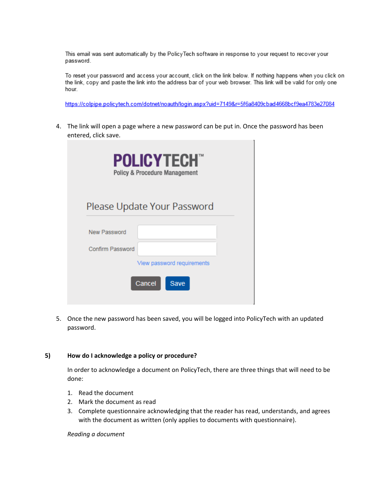This email was sent automatically by the PolicyTech software in response to your request to recover your password.

To reset your password and access your account, click on the link below. If nothing happens when you click on the link, copy and paste the link into the address bar of your web browser. This link will be valid for only one hour.

https://colpipe.policytech.com/dotnet/noauth/login.aspx?uid=7149&r=5f6a8409cbad4668bcf9ea4783e27084

4. The link will open a page where a new password can be put in. Once the password has been entered, click save.

| <b>POLICYTECH®</b><br><b>Policy &amp; Procedure Management</b> |                                              |  |  |
|----------------------------------------------------------------|----------------------------------------------|--|--|
|                                                                | Please Update Your Password                  |  |  |
| New Password                                                   |                                              |  |  |
| Confirm Password                                               |                                              |  |  |
|                                                                | View password requirements<br>Cancel<br>Save |  |  |

5. Once the new password has been saved, you will be logged into PolicyTech with an updated password.

#### **5) How do I acknowledge a policy or procedure?**

In order to acknowledge a document on PolicyTech, there are three things that will need to be done:

- 1. Read the document
- 2. Mark the document as read
- 3. Complete questionnaire acknowledging that the reader has read, understands, and agrees with the document as written (only applies to documents with questionnaire).

*Reading a document*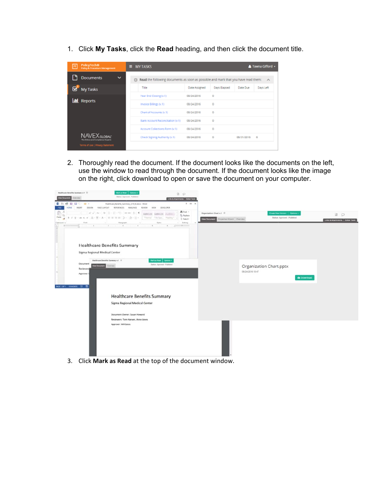1. Click **My Tasks**, click the **Read** heading, and then click the document title.

| PolicyTech®<br>Policy & Procedure Management                          | <b>MY TASKS</b>                                                                                 |                                           | Tawna Gifford - |
|-----------------------------------------------------------------------|-------------------------------------------------------------------------------------------------|-------------------------------------------|-----------------|
| <b>Documents</b><br>$\checkmark$                                      | Read the following documents as soon as possible and mark that you have read them: A<br>$\circ$ |                                           |                 |
| $\overline{\mathbf{z}}$<br><b>My Tasks</b>                            | Title                                                                                           | Date Assigned<br>Days Elapsed<br>Date Due | Days Left       |
|                                                                       | Year End Closing (v.1)                                                                          | o<br>08/24/2016                           |                 |
| <b>III</b> Reports                                                    | Invoice Billings (v.1)                                                                          | $\circ$<br>08/24/2016                     |                 |
|                                                                       | Chart of Accounts (v.1)                                                                         | o<br>08/24/2016                           |                 |
|                                                                       | Bank Account Reconciliation (v.1)                                                               | O<br>08/24/2016                           |                 |
|                                                                       | Account Collections Form (v.1)                                                                  | $\circ$<br>08/24/2016                     |                 |
| The Editor and Completion Experts<br>Terms of Use   Privacy Statement | Check Signing Authority (v.1)                                                                   | ۰<br>08/24/2016<br>08/31/2016<br>$\sim$   |                 |

2. Thoroughly read the document. If the document looks like the documents on the left, use the window to read through the document. If the document looks like the image on the right, click download to open or save the document on your computer.



3. Click **Mark as Read** at the top of the document window.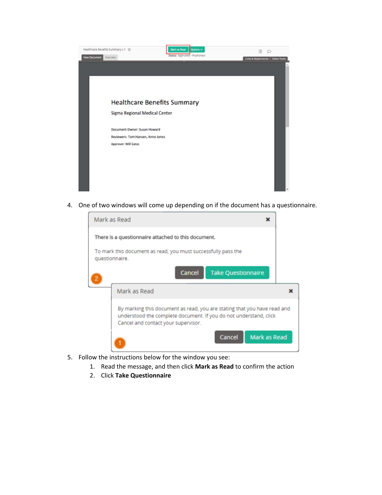

4. One of two windows will come up depending on if the document has a questionnaire.



- 5. Follow the instructions below for the window you see:
	- 1. Read the message, and then click **Mark as Read** to confirm the action
	- 2. Click **Take Questionnaire**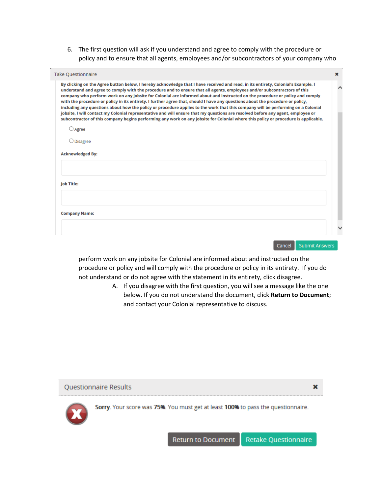6. The first question will ask if you understand and agree to comply with the procedure or policy and to ensure that all agents, employees and/or subcontractors of your company who

| By clicking on the Agree button below, I hereby acknowledge that I have received and read, in its entirety, Colonial's Example. I<br>understand and agree to comply with the procedure and to ensure that all agents, employees and/or subcontractors of this<br>company who perform work on any jobsite for Colonial are informed about and instructed on the procedure or policy and comply<br>with the procedure or policy in its entirety. I further agree that, should I have any questions about the procedure or policy,<br>including any questions about how the policy or procedure applies to the work that this company will be performing on a Colonial<br>jobsite, I will contact my Colonial representative and will ensure that my questions are resolved before any agent, employee or<br>subcontractor of this company begins performing any work on any jobsite for Colonial where this policy or procedure is applicable. |  |
|----------------------------------------------------------------------------------------------------------------------------------------------------------------------------------------------------------------------------------------------------------------------------------------------------------------------------------------------------------------------------------------------------------------------------------------------------------------------------------------------------------------------------------------------------------------------------------------------------------------------------------------------------------------------------------------------------------------------------------------------------------------------------------------------------------------------------------------------------------------------------------------------------------------------------------------------|--|
| ○ Agree                                                                                                                                                                                                                                                                                                                                                                                                                                                                                                                                                                                                                                                                                                                                                                                                                                                                                                                                      |  |
| $\bigcirc$ Disagree                                                                                                                                                                                                                                                                                                                                                                                                                                                                                                                                                                                                                                                                                                                                                                                                                                                                                                                          |  |
| <b>Acknowledged By:</b>                                                                                                                                                                                                                                                                                                                                                                                                                                                                                                                                                                                                                                                                                                                                                                                                                                                                                                                      |  |
|                                                                                                                                                                                                                                                                                                                                                                                                                                                                                                                                                                                                                                                                                                                                                                                                                                                                                                                                              |  |
| <b>Job Title:</b>                                                                                                                                                                                                                                                                                                                                                                                                                                                                                                                                                                                                                                                                                                                                                                                                                                                                                                                            |  |
|                                                                                                                                                                                                                                                                                                                                                                                                                                                                                                                                                                                                                                                                                                                                                                                                                                                                                                                                              |  |
| <b>Company Name:</b>                                                                                                                                                                                                                                                                                                                                                                                                                                                                                                                                                                                                                                                                                                                                                                                                                                                                                                                         |  |
|                                                                                                                                                                                                                                                                                                                                                                                                                                                                                                                                                                                                                                                                                                                                                                                                                                                                                                                                              |  |
|                                                                                                                                                                                                                                                                                                                                                                                                                                                                                                                                                                                                                                                                                                                                                                                                                                                                                                                                              |  |

perform work on any jobsite for Colonial are informed about and instructed on the procedure or policy and will comply with the procedure or policy in its entirety. If you do not understand or do not agree with the statement in its entirety, click disagree.

> A. If you disagree with the first question, you will see a message like the one below. If you do not understand the document, click **Return to Document**; and contact your Colonial representative to discuss.



Sorry. Your score was 75%. You must get at least 100% to pass the questionnaire.

×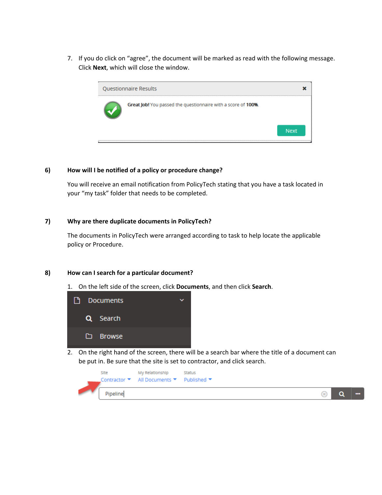7. If you do click on "agree", the document will be marked as read with the following message. Click **Next**, which will close the window.



# **6) How will <sup>I</sup> be notified of <sup>a</sup> policy or procedure change?**

You will receive an email notification from PolicyTech stating that you have a task located in your "my task" folder that needs to be completed.

## **7) Why are there duplicate documents in PolicyTech?**

The documents in PolicyTech were arranged according to task to help locate the applicable policy or Procedure.

#### **8) How can I search for a particular document?**

1. On the left side of the screen, click **Documents**, and then click **Search**.



2. On the right hand of the screen, there will be a search bar where the title of a document can be put in. Be sure that the site is set to contractor, and click search.

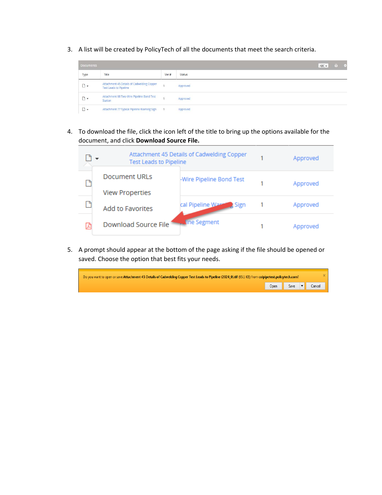3. A list will be created by PolicyTech of all the documents that meet the search criteria.



4. To download the file, click the icon left of the title to bring up the options available for the document, and click **Download Source File.**

| <b>Test Leads to Pipeline</b> | Attachment 45 Details of Cadwelding Copper | Approved |
|-------------------------------|--------------------------------------------|----------|
| Document URLs                 | -Wire Pipeline Bond Test                   | Approved |
| <b>View Properties</b>        |                                            |          |
| Add to Favorites              | cal Pipeline Ward<br>$\blacksquare$ Sign   | Approved |
| <b>Download Source File</b>   | . Tine Segment                             | Approved |

5. A prompt should appear at the bottom of the page asking if the file should be opened or saved. Choose the option that best fits your needs.

| Do you want to open or save Attachment 45 Details of Cadwelding Copper Test Leads to Pipeline (2024_0).tif (95.1 KB) from colpipetest.policytech.com? |  |  |  |                           |
|-------------------------------------------------------------------------------------------------------------------------------------------------------|--|--|--|---------------------------|
|                                                                                                                                                       |  |  |  | Open Save <b>v</b> Cancel |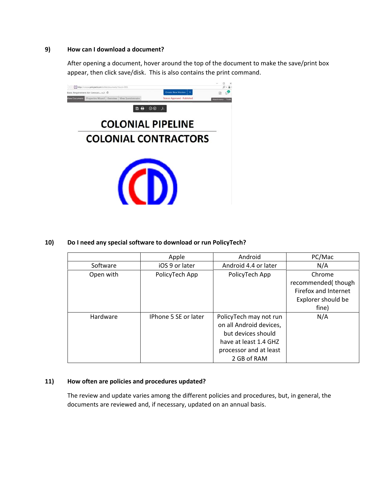### **9) How can I download a document?**

After opening a document, hover around the top of the document to make the save/print box appear, then click save/disk. This is also contains the print command.



## **10) Do I need any special software to download or run PolicyTech?**

|           | Apple                | Android                 | PC/Mac               |
|-----------|----------------------|-------------------------|----------------------|
| Software  | iOS 9 or later       | Android 4.4 or later    | N/A                  |
| Open with | PolicyTech App       | PolicyTech App          | Chrome               |
|           |                      |                         | recommended(though   |
|           |                      |                         | Firefox and Internet |
|           |                      |                         | Explorer should be   |
|           |                      |                         | fine)                |
| Hardware  | IPhone 5 SE or later | PolicyTech may not run  | N/A                  |
|           |                      | on all Android devices, |                      |
|           |                      | but devices should      |                      |
|           |                      | have at least 1.4 GHZ   |                      |
|           |                      | processor and at least  |                      |
|           |                      | 2 GB of RAM             |                      |

## **11) How often are policies and procedures updated?**

The review and update varies among the different policies and procedures, but, in general, the documents are reviewed and, if necessary, updated on an annual basis.